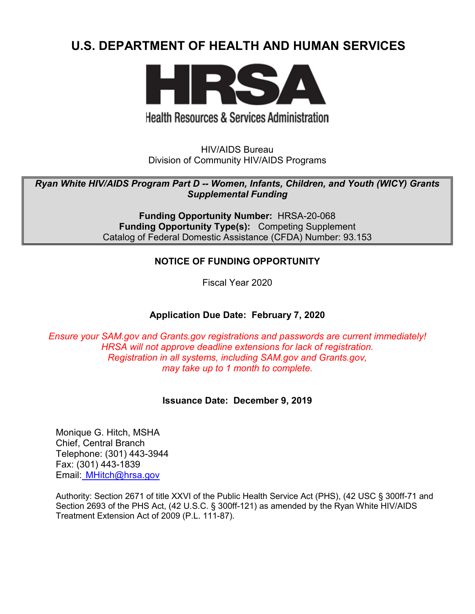# **U.S. DEPARTMENT OF HEALTH AND HUMAN SERVICES**



# **Health Resources & Services Administration**

HIV/AIDS Bureau Division of Community HIV/AIDS Programs

*Ryan White HIV/AIDS Program Part D -- Women, Infants, Children, and Youth (WICY) Grants Supplemental Funding*

> **Funding Opportunity Number:** HRSA-20-068 **Funding Opportunity Type(s):** Competing Supplement Catalog of Federal Domestic Assistance (CFDA) Number: 93.153

## **NOTICE OF FUNDING OPPORTUNITY**

Fiscal Year 2020

## **Application Due Date: February 7, 2020**

*Ensure your SAM.gov and Grants.gov registrations and passwords are current immediately! HRSA will not approve deadline extensions for lack of registration. Registration in all systems, including SAM.gov and Grants.gov, may take up to 1 month to complete.*

#### **Issuance Date:****December 9, 2019**

Monique G. Hitch, MSHA Chief, Central Branch Telephone: (301) 443-3944 Fax: (301) 443-1839 Email: [MHitch@hrsa.gov](mailto:%20%20MHitch@hrsa.gov)

Authority: Section 2671 of title XXVI of the Public Health Service Act (PHS), (42 USC § 300ff-71 and Section 2693 of the PHS Act, (42 U.S.C. § 300ff-121) as amended by the Ryan White HIV/AIDS Treatment Extension Act of 2009 (P.L. 111-87).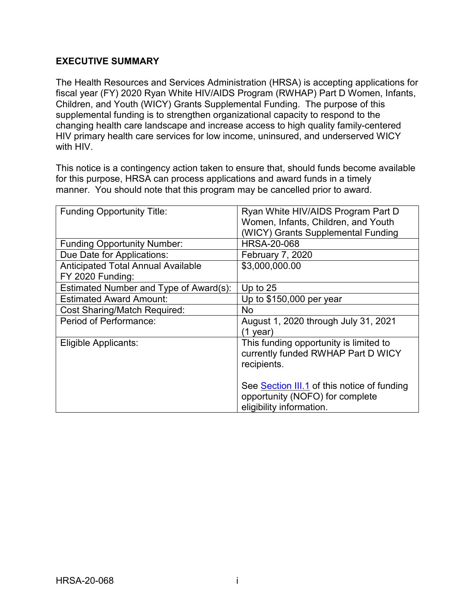## **EXECUTIVE SUMMARY**

The Health Resources and Services Administration (HRSA) is accepting applications for fiscal year (FY) 2020 Ryan White HIV/AIDS Program (RWHAP) Part D Women, Infants, Children, and Youth (WICY) Grants Supplemental Funding. The purpose of this supplemental funding is to strengthen organizational capacity to respond to the changing health care landscape and increase access to high quality family-centered HIV primary health care services for low income, uninsured, and underserved WICY with HIV.

This notice is a contingency action taken to ensure that, should funds become available for this purpose, HRSA can process applications and award funds in a timely manner. You should note that this program may be cancelled prior to award.

| <b>Funding Opportunity Title:</b>         | Ryan White HIV/AIDS Program Part D<br>Women, Infants, Children, and Youth |
|-------------------------------------------|---------------------------------------------------------------------------|
|                                           | (WICY) Grants Supplemental Funding                                        |
| <b>Funding Opportunity Number:</b>        | <b>HRSA-20-068</b>                                                        |
| Due Date for Applications:                | <b>February 7, 2020</b>                                                   |
| <b>Anticipated Total Annual Available</b> | \$3,000,000.00                                                            |
| FY 2020 Funding:                          |                                                                           |
| Estimated Number and Type of Award(s):    | Up to $25$                                                                |
| <b>Estimated Award Amount:</b>            | Up to \$150,000 per year                                                  |
| <b>Cost Sharing/Match Required:</b>       | <b>No</b>                                                                 |
| Period of Performance:                    | August 1, 2020 through July 31, 2021                                      |
|                                           | (1 year)                                                                  |
| Eligible Applicants:                      | This funding opportunity is limited to                                    |
|                                           | currently funded RWHAP Part D WICY                                        |
|                                           | recipients.                                                               |
|                                           |                                                                           |
|                                           | See Section III.1 of this notice of funding                               |
|                                           | opportunity (NOFO) for complete                                           |
|                                           | eligibility information.                                                  |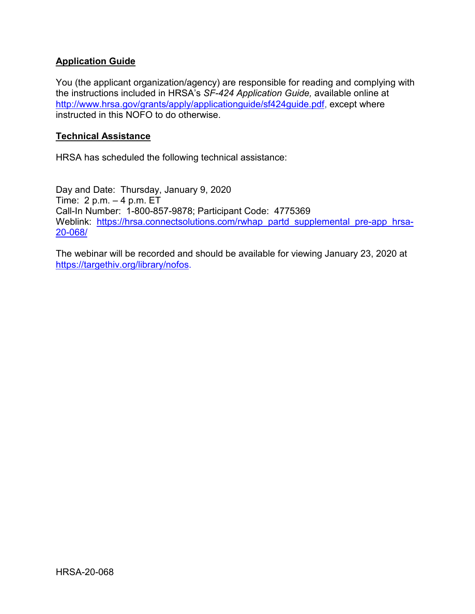## **Application Guide**

You (the applicant organization/agency) are responsible for reading and complying with the instructions included in HRSA's *SF-424 Application Guide,* available online at [http://www.hrsa.gov/grants/apply/applicationguide/sf424guide.pdf,](http://www.hrsa.gov/grants/apply/applicationguide/sf424guide.pdf) except where instructed in this NOFO to do otherwise.

#### **Technical Assistance**

HRSA has scheduled the following technical assistance:

Day and Date: Thursday, January 9, 2020 Time: 2 p.m. – 4 p.m. ET Call-In Number: 1-800-857-9878; Participant Code: 4775369 Weblink: [https://hrsa.connectsolutions.com/rwhap\\_partd\\_supplemental\\_pre-app\\_hrsa-](https://hrsa.connectsolutions.com/rwhap_partd_supplemental_pre-app_hrsa-20-068/)[20-068/](https://hrsa.connectsolutions.com/rwhap_partd_supplemental_pre-app_hrsa-20-068/)

The webinar will be recorded and should be available for viewing January 23, 2020 at [https://targethiv.org/library/nofos.](https://targethiv.org/library/nofos)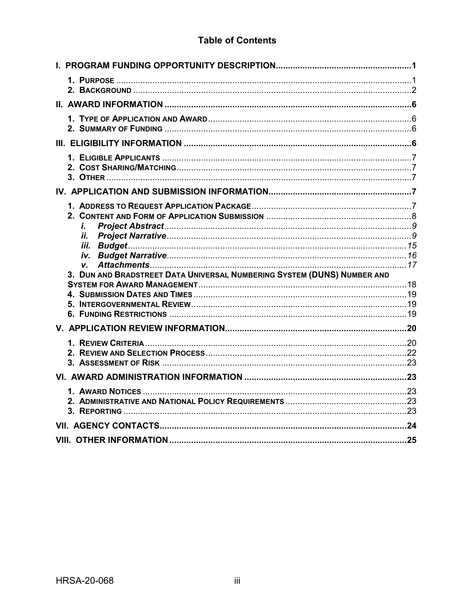# **Table of Contents**

| i.                                                                      |  |
|-------------------------------------------------------------------------|--|
| İİ.                                                                     |  |
|                                                                         |  |
| V.                                                                      |  |
| 3. DUN AND BRADSTREET DATA UNIVERSAL NUMBERING SYSTEM (DUNS) NUMBER AND |  |
|                                                                         |  |
|                                                                         |  |
|                                                                         |  |
|                                                                         |  |
|                                                                         |  |
|                                                                         |  |
|                                                                         |  |
|                                                                         |  |
|                                                                         |  |
|                                                                         |  |
|                                                                         |  |
|                                                                         |  |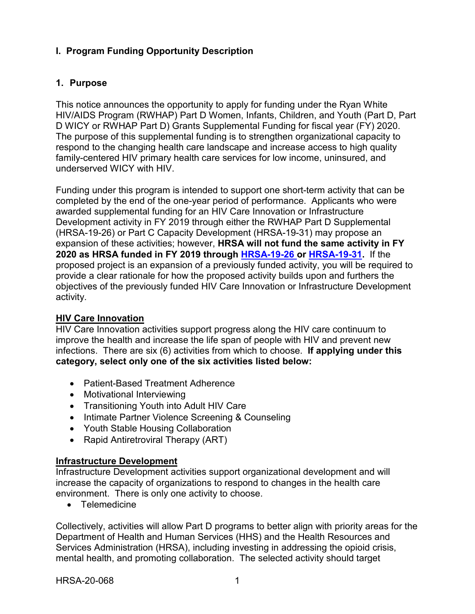# <span id="page-4-0"></span>**I. Program Funding Opportunity Description**

## <span id="page-4-1"></span>**1. Purpose**

This notice announces the opportunity to apply for funding under the Ryan White HIV/AIDS Program (RWHAP) Part D Women, Infants, Children, and Youth (Part D, Part D WICY or RWHAP Part D) Grants Supplemental Funding for fiscal year (FY) 2020. The purpose of this supplemental funding is to strengthen organizational capacity to respond to the changing health care landscape and increase access to high quality family-centered HIV primary health care services for low income, uninsured, and underserved WICY with HIV.

Funding under this program is intended to support one short-term activity that can be completed by the end of the one-year period of performance. Applicants who were awarded supplemental funding for an HIV Care Innovation or Infrastructure Development activity in FY 2019 through either the RWHAP Part D Supplemental (HRSA-19-26) or Part C Capacity Development (HRSA-19-31) may propose an expansion of these activities; however, **HRSA will not fund the same activity in FY 2020 as HRSA funded in FY 2019 through [HRSA-19-26 o](https://www.hrsa.gov/grants/fundingopportunities/default.aspx?id=3285c03f-e743-4a5a-9f6e-7fe0161d951a)r [HRSA-19-31.](https://www.hrsa.gov/grants/fundingopportunities/default.aspx?id=8cf8e1ba-0d99-4c10-b5ff-a86e1979bb22)** If the proposed project is an expansion of a previously funded activity, you will be required to provide a clear rationale for how the proposed activity builds upon and furthers the objectives of the previously funded HIV Care Innovation or Infrastructure Development activity.

## **HIV Care Innovation**

HIV Care Innovation activities support progress along the HIV care continuum to improve the health and increase the life span of people with HIV and prevent new infections. There are six (6) activities from which to choose. **If applying under this category, select only one of the six activities listed below:**

- Patient-Based Treatment Adherence
- Motivational Interviewing
- Transitioning Youth into Adult HIV Care
- Intimate Partner Violence Screening & Counseling
- Youth Stable Housing Collaboration
- Rapid Antiretroviral Therapy (ART)

#### **Infrastructure Development**

Infrastructure Development activities support organizational development and will increase the capacity of organizations to respond to changes in the health care environment. There is only one activity to choose.

• Telemedicine

Collectively, activities will allow Part D programs to better align with priority areas for the Department of Health and Human Services (HHS) and the Health Resources and Services Administration (HRSA), including investing in addressing the opioid crisis, mental health, and promoting collaboration. The selected activity should target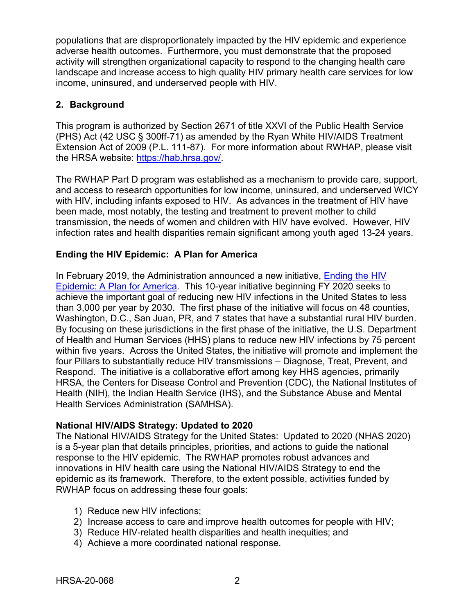populations that are disproportionately impacted by the HIV epidemic and experience adverse health outcomes. Furthermore, you must demonstrate that the proposed activity will strengthen organizational capacity to respond to the changing health care landscape and increase access to high quality HIV primary health care services for low income, uninsured, and underserved people with HIV.

## <span id="page-5-0"></span>**2. Background**

This program is authorized by Section 2671 of title XXVI of the Public Health Service (PHS) Act (42 USC § 300ff-71) as amended by the Ryan White HIV/AIDS Treatment Extension Act of 2009 (P.L. 111-87). For more information about RWHAP, please visit the HRSA website: [https://hab.hrsa.gov/.](https://hab.hrsa.gov/)

The RWHAP Part D program was established as a mechanism to provide care, support, and access to research opportunities for low income, uninsured, and underserved WICY with HIV, including infants exposed to HIV. As advances in the treatment of HIV have been made, most notably, the testing and treatment to prevent mother to child transmission, the needs of women and children with HIV have evolved. However, HIV infection rates and health disparities remain significant among youth aged 13-24 years.

# **Ending the HIV Epidemic: A Plan for America**

In February 2019, the Administration announced a new initiative, Ending the HIV [Epidemic: A Plan for America.](https://www.hhs.gov/blog/2019/02/05/ending-the-hiv-epidemic-a-plan-for-america.html) This 10-year initiative beginning FY 2020 seeks to achieve the important goal of reducing new HIV infections in the United States to less than 3,000 per year by 2030. The first phase of the initiative will focus on 48 counties, Washington, D.C., San Juan, PR, and 7 states that have a substantial rural HIV burden. By focusing on these jurisdictions in the first phase of the initiative, the U.S. Department of Health and Human Services (HHS) plans to reduce new HIV infections by 75 percent within five years. Across the United States, the initiative will promote and implement the four Pillars to substantially reduce HIV transmissions – Diagnose, Treat, Prevent, and Respond. The initiative is a collaborative effort among key HHS agencies, primarily HRSA, the Centers for Disease Control and Prevention (CDC), the National Institutes of Health (NIH), the Indian Health Service (IHS), and the Substance Abuse and Mental Health Services Administration (SAMHSA).

## **National HIV/AIDS Strategy: Updated to 2020**

The National HIV/AIDS Strategy for the United States: Updated to 2020 (NHAS 2020) is a 5-year plan that details principles, priorities, and actions to guide the national response to the HIV epidemic. The RWHAP promotes robust advances and innovations in HIV health care using the National HIV/AIDS Strategy to end the epidemic as its framework. Therefore, to the extent possible, activities funded by RWHAP focus on addressing these four goals:

- 1) Reduce new HIV infections;
- 2) Increase access to care and improve health outcomes for people with HIV;
- 3) Reduce HIV-related health disparities and health inequities; and
- 4) Achieve a more coordinated national response.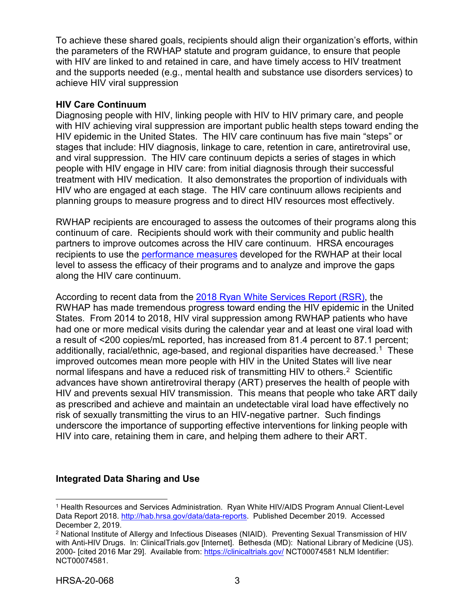To achieve these shared goals, recipients should align their organization's efforts, within the parameters of the RWHAP statute and program guidance, to ensure that people with HIV are linked to and retained in care, and have timely access to HIV treatment and the supports needed (e.g., mental health and substance use disorders services) to achieve HIV viral suppression

#### **HIV Care Continuum**

Diagnosing people with HIV, linking people with HIV to HIV primary care, and people with HIV achieving viral suppression are important public health steps toward ending the HIV epidemic in the United States. The HIV care continuum has five main "steps" or stages that include: HIV diagnosis, linkage to care, retention in care, antiretroviral use, and viral suppression. The HIV care continuum depicts a series of stages in which people with HIV engage in HIV care: from initial diagnosis through their successful treatment with HIV medication. It also demonstrates the proportion of individuals with HIV who are engaged at each stage. The HIV care continuum allows recipients and planning groups to measure progress and to direct HIV resources most effectively.

RWHAP recipients are encouraged to assess the outcomes of their programs along this continuum of care. Recipients should work with their community and public health partners to improve outcomes across the HIV care continuum. HRSA encourages recipients to use the [performance measures](http://hab.hrsa.gov/deliverhivaidscare/habperformmeasures.html) developed for the RWHAP at their local level to assess the efficacy of their programs and to analyze and improve the gaps along the HIV care continuum.

According to recent data from the [2018 Ryan White Services Report \(RSR\)](https://hab.hrsa.gov/sites/default/files/hab/data/datareports/RWHAP-annual-client-level-data-report-2018.pdf), the RWHAP has made tremendous progress toward ending the HIV epidemic in the United States. From 2014 to 2018, HIV viral suppression among RWHAP patients who have had one or more medical visits during the calendar year and at least one viral load with a result of <200 copies/mL reported, has increased from 81.4 percent to 87.1 percent; additionally, racial/ethnic, age-based, and regional disparities have decreased.<sup>[1](#page-6-0)</sup> These improved outcomes mean more people with HIV in the United States will live near normal lifespans and have a reduced risk of transmitting HIV to others.<sup>[2](#page-6-1)</sup> Scientific advances have shown antiretroviral therapy (ART) preserves the health of people with HIV and prevents sexual HIV transmission. This means that people who take ART daily as prescribed and achieve and maintain an undetectable viral load have effectively no risk of sexually transmitting the virus to an HIV-negative partner. Such findings underscore the importance of supporting effective interventions for linking people with HIV into care, retaining them in care, and helping them adhere to their ART.

#### **Integrated Data Sharing and Use**

<span id="page-6-0"></span> $\overline{a}$ <sup>1</sup> Health Resources and Services Administration. Ryan White HIV/AIDS Program Annual Client-Level Data Report 2018. [http://hab.hrsa.gov/data/data-reports.](http://hab.hrsa.gov/data/data-reports) Published December 2019. Accessed December 2, 2019.

<span id="page-6-1"></span><sup>2</sup> National Institute of Allergy and Infectious Diseases (NIAID). Preventing Sexual Transmission of HIV with Anti-HIV Drugs. In: ClinicalTrials.gov [Internet]. Bethesda (MD): National Library of Medicine (US). 2000- [cited 2016 Mar 29]. Available from:<https://clinicaltrials.gov/> NCT00074581 NLM Identifier: NCT00074581.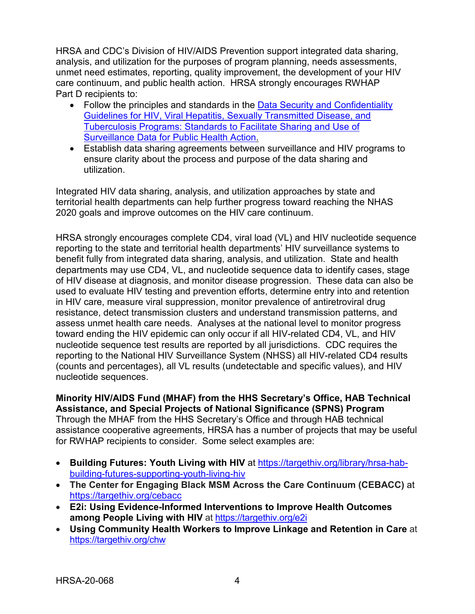HRSA and CDC's Division of HIV/AIDS Prevention support integrated data sharing, analysis, and utilization for the purposes of program planning, needs assessments, unmet need estimates, reporting, quality improvement, the development of your HIV care continuum, and public health action. HRSA strongly encourages RWHAP Part D recipients to:

- Follow the principles and standards in the Data Security and Confidentiality [Guidelines for HIV, Viral](http://www.cdc.gov/nchhstp/programintegration/docs/pcsidatasecurityguidelines.pdf) [Hepatitis, Sexually Transmitted Disease, and](http://www.cdc.gov/nchhstp/programintegration/docs/pcsidatasecurityguidelines.pdf)  [Tuberculosis Programs: Standards to Facilitate](http://www.cdc.gov/nchhstp/programintegration/docs/pcsidatasecurityguidelines.pdf) [Sharing and Use of](http://www.cdc.gov/nchhstp/programintegration/docs/pcsidatasecurityguidelines.pdf)  [Surveillance Data for Public Health Action.](http://www.cdc.gov/nchhstp/programintegration/docs/pcsidatasecurityguidelines.pdf)
- Establish data sharing agreements between surveillance and HIV programs to ensure clarity about the process and purpose of the data sharing and utilization.

Integrated HIV data sharing, analysis, and utilization approaches by state and territorial health departments can help further progress toward reaching the NHAS 2020 goals and improve outcomes on the HIV care continuum.

HRSA strongly encourages complete CD4, viral load (VL) and HIV nucleotide sequence reporting to the state and territorial health departments' HIV surveillance systems to benefit fully from integrated data sharing, analysis, and utilization. State and health departments may use CD4, VL, and nucleotide sequence data to identify cases, stage of HIV disease at diagnosis, and monitor disease progression. These data can also be used to evaluate HIV testing and prevention efforts, determine entry into and retention in HIV care, measure viral suppression, monitor prevalence of antiretroviral drug resistance, detect transmission clusters and understand transmission patterns, and assess unmet health care needs. Analyses at the national level to monitor progress toward ending the HIV epidemic can only occur if all HIV-related CD4, VL, and HIV nucleotide sequence test results are reported by all jurisdictions. CDC requires the reporting to the National HIV Surveillance System (NHSS) all HIV-related CD4 results (counts and percentages), all VL results (undetectable and specific values), and HIV nucleotide sequences.

**Minority HIV/AIDS Fund (MHAF) from the HHS Secretary's Office, HAB Technical Assistance, and Special Projects of National Significance (SPNS) Program**  Through the MHAF from the HHS Secretary's Office and through HAB technical assistance cooperative agreements, HRSA has a number of projects that may be useful for RWHAP recipients to consider. Some select examples are:

- **Building Futures: Youth Living with HIV** at [https://targethiv.org/library/hrsa-hab](https://targethiv.org/library/hrsa-hab-building-futures-supporting-youth-living-hiv)[building-futures-supporting-youth-living-hiv](https://targethiv.org/library/hrsa-hab-building-futures-supporting-youth-living-hiv)
- **The Center for Engaging Black MSM Across the Care Continuum (CEBACC)** at <https://targethiv.org/cebacc>
- **E2i: Using Evidence-Informed Interventions to Improve Health Outcomes**  among People Living with HIV at<https://targethiv.org/e2i>
- **Using Community Health Workers to Improve Linkage and Retention in Care** at <https://targethiv.org/chw>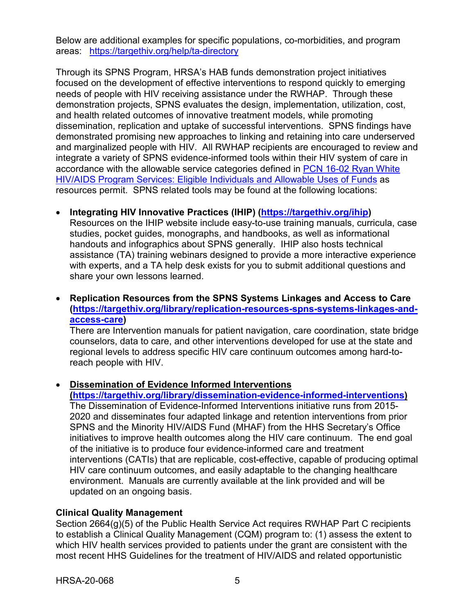Below are additional examples for specific populations, co-morbidities, and program areas: <https://targethiv.org/help/ta-directory>

Through its SPNS Program, HRSA's HAB funds demonstration project initiatives focused on the development of effective interventions to respond quickly to emerging needs of people with HIV receiving assistance under the RWHAP. Through these demonstration projects, SPNS evaluates the design, implementation, utilization, cost, and health related outcomes of innovative treatment models, while promoting dissemination, replication and uptake of successful interventions. SPNS findings have demonstrated promising new approaches to linking and retaining into care underserved and marginalized people with HIV. All RWHAP recipients are encouraged to review and integrate a variety of SPNS evidence-informed tools within their HIV system of care in accordance with the allowable service categories defined in [PCN 16-02 Ryan White](https://hab.hrsa.gov/sites/default/files/hab/program-grants-management/ServiceCategoryPCN_16-02Final.pdf)  [HIV/AIDS Program Services: Eligible Individuals and Allowable Uses of Funds](https://hab.hrsa.gov/sites/default/files/hab/program-grants-management/ServiceCategoryPCN_16-02Final.pdf) as resources permit. SPNS related tools may be found at the following locations:

#### • **Integrating HIV Innovative Practices (IHIP) [\(https://targethiv.org/ihip\)](https://targethiv.org/ihip)**

Resources on the IHIP website include easy-to-use training manuals, curricula, case studies, pocket guides, monographs, and handbooks, as well as informational handouts and infographics about SPNS generally. IHIP also hosts technical assistance (TA) training webinars designed to provide a more interactive experience with experts, and a TA help desk exists for you to submit additional questions and share your own lessons learned.

#### • **Replication Resources from the SPNS Systems Linkages and Access to Care [\(https://targethiv.org/library/replication-resources-spns-systems-linkages-and](https://targethiv.org/library/replication-resources-spns-systems-linkages-and-access-care)[access-care\)](https://targethiv.org/library/replication-resources-spns-systems-linkages-and-access-care)**

There are Intervention manuals for patient navigation, care coordination, state bridge counselors, data to care, and other interventions developed for use at the state and regional levels to address specific HIV care continuum outcomes among hard-toreach people with HIV.

#### • **Dissemination of Evidence Informed Interventions**

**[\(https://targethiv.org/library/dissemination-evidence-informed-interventions\)](https://targethiv.org/library/dissemination-evidence-informed-interventions)**  The Dissemination of Evidence-Informed Interventions initiative runs from 2015- 2020 and disseminates four adapted linkage and retention interventions from prior SPNS and the Minority HIV/AIDS Fund (MHAF) from the HHS Secretary's Office initiatives to improve health outcomes along the HIV care continuum. The end goal of the initiative is to produce four evidence-informed care and treatment interventions (CATIs) that are replicable, cost-effective, capable of producing optimal HIV care continuum outcomes, and easily adaptable to the changing healthcare environment. Manuals are currently available at the link provided and will be updated on an ongoing basis.

#### **Clinical Quality Management**

Section 2664(g)(5) of the Public Health Service Act requires RWHAP Part C recipients to establish a Clinical Quality Management (CQM) program to: (1) assess the extent to which HIV health services provided to patients under the grant are consistent with the most recent HHS Guidelines for the treatment of HIV/AIDS and related opportunistic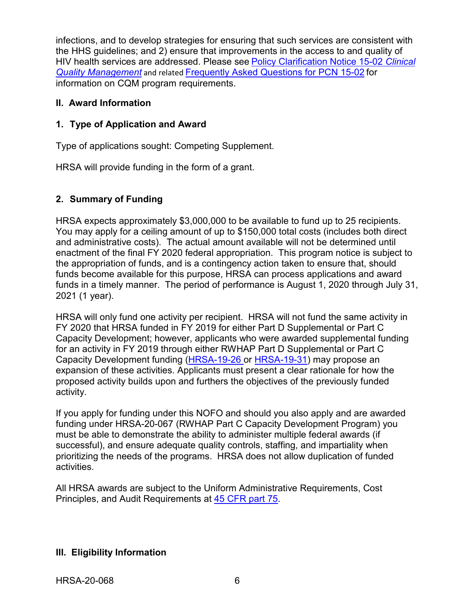infections, and to develop strategies for ensuring that such services are consistent with the HHS guidelines; and 2) ensure that improvements in the access to and quality of HIV health services are addressed. Please see [Policy Clarification Notice 15-02](https://hab.hrsa.gov/program-grants-management/policy-notices-and-program-letters) *Clinical [Quality Management](https://hab.hrsa.gov/program-grants-management/policy-notices-and-program-letters)* and related [Frequently Asked Questions for PCN 15-02](https://hab.hrsa.gov/program-grants-management/policy-notices-and-program-letters) for information on CQM program requirements.

## <span id="page-9-0"></span>**II. Award Information**

## <span id="page-9-1"></span>**1. Type of Application and Award**

Type of applications sought: Competing Supplement.

HRSA will provide funding in the form of a grant.

# <span id="page-9-2"></span>**2. Summary of Funding**

HRSA expects approximately \$3,000,000 to be available to fund up to 25 recipients. You may apply for a ceiling amount of up to \$150,000 total costs (includes both direct and administrative costs). The actual amount available will not be determined until enactment of the final FY 2020 federal appropriation. This program notice is subject to the appropriation of funds, and is a contingency action taken to ensure that, should funds become available for this purpose, HRSA can process applications and award funds in a timely manner. The period of performance is August 1, 2020 through July 31, 2021 (1 year).

HRSA will only fund one activity per recipient. HRSA will not fund the same activity in FY 2020 that HRSA funded in FY 2019 for either Part D Supplemental or Part C Capacity Development; however, applicants who were awarded supplemental funding for an activity in FY 2019 through either RWHAP Part D Supplemental or Part C Capacity Development funding [\(HRSA-19-26 o](https://www.hrsa.gov/grants/fundingopportunities/default.aspx?id=3285c03f-e743-4a5a-9f6e-7fe0161d951a)r [HRSA-19-31\)](https://www.hrsa.gov/grants/fundingopportunities/default.aspx?id=8cf8e1ba-0d99-4c10-b5ff-a86e1979bb22) may propose an expansion of these activities. Applicants must present a clear rationale for how the proposed activity builds upon and furthers the objectives of the previously funded activity.

If you apply for funding under this NOFO and should you also apply and are awarded funding under HRSA-20-067 (RWHAP Part C Capacity Development Program) you must be able to demonstrate the ability to administer multiple federal awards (if successful), and ensure adequate quality controls, staffing, and impartiality when prioritizing the needs of the programs. HRSA does not allow duplication of funded activities.

All HRSA awards are subject to the Uniform Administrative Requirements, Cost Principles, and Audit Requirements at [45 CFR part 75.](http://www.ecfr.gov/cgi-bin/retrieveECFR?gp=1&SID=4d52364ec83fab994c665943dadf9cf7&ty=HTML&h=L&r=PART&n=pt45.1.75)

## <span id="page-9-3"></span>**III. Eligibility Information**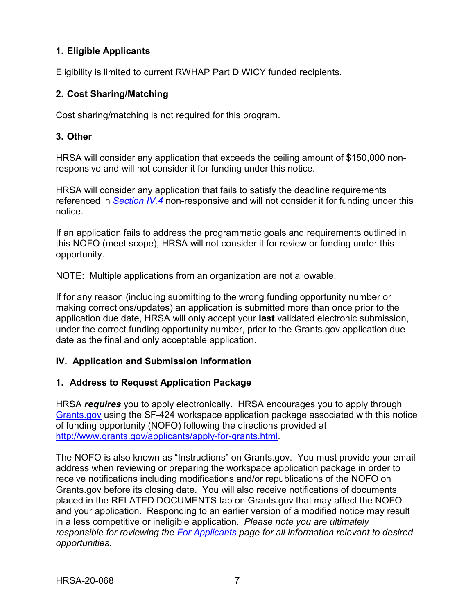## <span id="page-10-0"></span>**1. Eligible Applicants**

Eligibility is limited to current RWHAP Part D WICY funded recipients.

## <span id="page-10-1"></span>**2. Cost Sharing/Matching**

Cost sharing/matching is not required for this program.

## <span id="page-10-2"></span>**3. Other**

HRSA will consider any application that exceeds the ceiling amount of \$150,000 nonresponsive and will not consider it for funding under this notice.

HRSA will consider any application that fails to satisfy the deadline requirements referenced in *[Section IV.4](#page-22-0)* non-responsive and will not consider it for funding under this notice.

If an application fails to address the programmatic goals and requirements outlined in this NOFO (meet scope), HRSA will not consider it for review or funding under this opportunity.

NOTE: Multiple applications from an organization are not allowable.

If for any reason (including submitting to the wrong funding opportunity number or making corrections/updates) an application is submitted more than once prior to the application due date, HRSA will only accept your **last** validated electronic submission, under the correct funding opportunity number, prior to the Grants.gov application due date as the final and only acceptable application.

## <span id="page-10-3"></span>**IV. Application and Submission Information**

## <span id="page-10-4"></span>**1. Address to Request Application Package**

HRSA *requires* you to apply electronically. HRSA encourages you to apply through [Grants.gov](https://www.grants.gov/) using the SF-424 workspace application package associated with this notice of funding opportunity (NOFO) following the directions provided at [http://www.grants.gov/applicants/apply-for-grants.html.](http://www.grants.gov/applicants/apply-for-grants.html)

The NOFO is also known as "Instructions" on Grants.gov. You must provide your email address when reviewing or preparing the workspace application package in order to receive notifications including modifications and/or republications of the NOFO on Grants.gov before its closing date. You will also receive notifications of documents placed in the RELATED DOCUMENTS tab on Grants.gov that may affect the NOFO and your application. Responding to an earlier version of a modified notice may result in a less competitive or ineligible application. *Please note you are ultimately responsible for reviewing the [For Applicants](https://www.grants.gov/web/grants/applicants.html) page for all information relevant to desired opportunities.*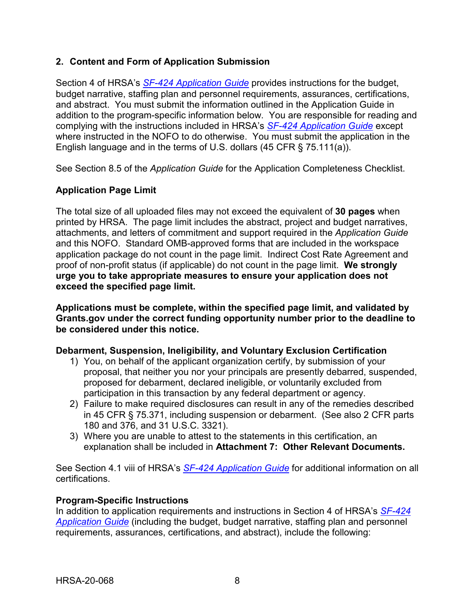## <span id="page-11-0"></span>**2. Content and Form of Application Submission**

Section 4 of HRSA's *SF-424 [Application Guide](http://www.hrsa.gov/grants/apply/applicationguide/sf424guide.pdf)* provides instructions for the budget, budget narrative, staffing plan and personnel requirements, assurances, certifications, and abstract. You must submit the information outlined in the Application Guide in addition to the program-specific information below. You are responsible for reading and complying with the instructions included in HRSA's *SF-424 [Application Guide](http://www.hrsa.gov/grants/apply/applicationguide/sf424guide.pdf)* except where instructed in the NOFO to do otherwise. You must submit the application in the English language and in the terms of U.S. dollars (45 CFR § 75.111(a)).

See Section 8.5 of the *Application Guide* for the Application Completeness Checklist.

# **Application Page Limit**

The total size of all uploaded files may not exceed the equivalent of **30 pages** when printed by HRSA. The page limit includes the abstract, project and budget narratives, attachments, and letters of commitment and support required in the *Application Guide* and this NOFO. Standard OMB-approved forms that are included in the workspace application package do not count in the page limit. Indirect Cost Rate Agreement and proof of non-profit status (if applicable) do not count in the page limit. **We strongly urge you to take appropriate measures to ensure your application does not exceed the specified page limit.**

**Applications must be complete, within the specified page limit, and validated by Grants.gov under the correct funding opportunity number prior to the deadline to be considered under this notice.**

#### **Debarment, Suspension, Ineligibility, and Voluntary Exclusion Certification**

- 1) You, on behalf of the applicant organization certify, by submission of your proposal, that neither you nor your principals are presently debarred, suspended, proposed for debarment, declared ineligible, or voluntarily excluded from participation in this transaction by any federal department or agency.
- 2) Failure to make required disclosures can result in any of the remedies described in 45 CFR § 75.371, including suspension or debarment. (See also 2 CFR parts 180 and 376, and 31 U.S.C. 3321).
- 3) Where you are unable to attest to the statements in this certification, an explanation shall be included in **Attachment 7: Other Relevant Documents.**

See Section 4.1 viii of HRSA's *SF-424 [Application Guide](http://www.hrsa.gov/grants/apply/applicationguide/sf424guide.pdf)* for additional information on all certifications.

#### **Program-Specific Instructions**

In addition to application requirements and instructions in Section 4 of HRSA's *[SF-424](http://www.hrsa.gov/grants/apply/applicationguide/sf424guide.pdf) [Application Guide](http://www.hrsa.gov/grants/apply/applicationguide/sf424guide.pdf)* (including the budget, budget narrative, staffing plan and personnel requirements, assurances, certifications, and abstract), include the following: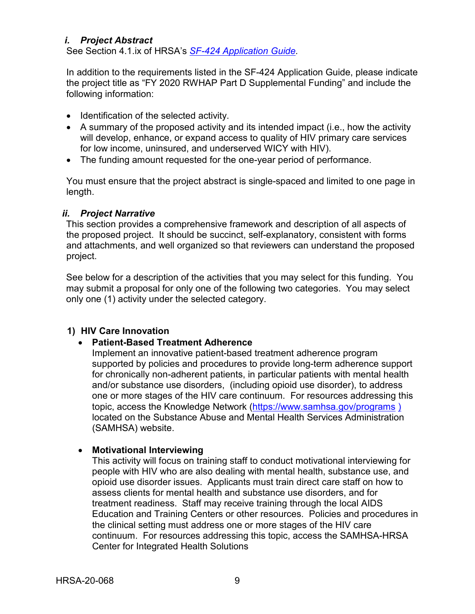## <span id="page-12-0"></span>*i. Project Abstract*

See Section 4.1.ix of HRSA's *SF-424 [Application Guide.](http://www.hrsa.gov/grants/apply/applicationguide/sf424guide.pdf)*

In addition to the requirements listed in the SF-424 Application Guide, please indicate the project title as "FY 2020 RWHAP Part D Supplemental Funding" and include the following information:

- Identification of the selected activity.
- A summary of the proposed activity and its intended impact (i.e., how the activity will develop, enhance, or expand access to quality of HIV primary care services for low income, uninsured, and underserved WICY with HIV).
- The funding amount requested for the one-year period of performance.

You must ensure that the project abstract is single-spaced and limited to one page in length.

## <span id="page-12-1"></span>*ii. Project Narrative*

This section provides a comprehensive framework and description of all aspects of the proposed project. It should be succinct, self-explanatory, consistent with forms and attachments, and well organized so that reviewers can understand the proposed project.

See below for a description of the activities that you may select for this funding. You may submit a proposal for only one of the following two categories. You may select only one (1) activity under the selected category.

## **1) HIV Care Innovation**

#### • **Patient-Based Treatment Adherence**

Implement an innovative patient-based treatment adherence program supported by policies and procedures to provide long-term adherence support for chronically non-adherent patients, in particular patients with mental health and/or substance use disorders, (including opioid use disorder), to address one or more stages of the HIV care continuum. For resources addressing this topic, access the Knowledge Network [\(https://www.samhsa.gov/programs](https://www.samhsa.gov/programs) [\)](https://knowledge.samhsa.gov/)) located on the Substance Abuse and Mental Health Services Administration (SAMHSA) website.

#### • **Motivational Interviewing**

This activity will focus on training staff to conduct motivational interviewing for people with HIV who are also dealing with mental health, substance use, and opioid use disorder issues. Applicants must train direct care staff on how to assess clients for mental health and substance use disorders, and for treatment readiness. Staff may receive training through the local AIDS Education and Training Centers or other resources. Policies and procedures in the clinical setting must address one or more stages of the HIV care continuum. For resources addressing this topic, access the SAMHSA-HRSA Center for Integrated Health Solutions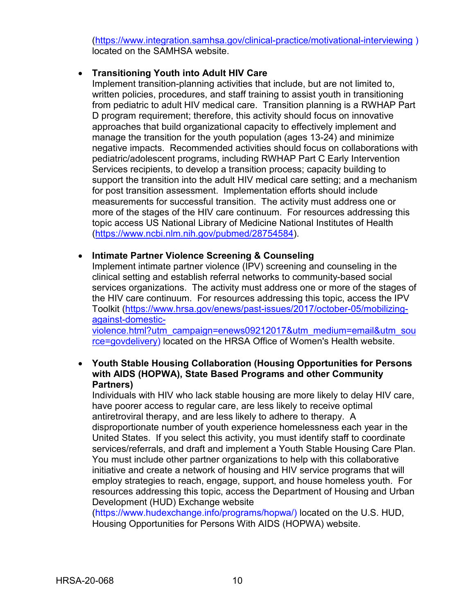[\(https://www.integration.samhsa.gov/clinical-practice/motivational-interviewing](https://www.integration.samhsa.gov/clinical-practice/motivational-interviewing) ) located on the SAMHSA website.

## • **Transitioning Youth into Adult HIV Care**

Implement transition-planning activities that include, but are not limited to, written policies, procedures, and staff training to assist youth in transitioning from pediatric to adult HIV medical care. Transition planning is a RWHAP Part D program requirement; therefore, this activity should focus on innovative approaches that build organizational capacity to effectively implement and manage the transition for the youth population (ages 13-24) and minimize negative impacts. Recommended activities should focus on collaborations with pediatric/adolescent programs, including RWHAP Part C Early Intervention Services recipients, to develop a transition process; capacity building to support the transition into the adult HIV medical care setting; and a mechanism for post transition assessment. Implementation efforts should include measurements for successful transition. The activity must address one or more of the stages of the HIV care continuum. For resources addressing this topic access US National Library of Medicine National Institutes of Health [\(https://www.ncbi.nlm.nih.gov/pubmed/28754584\)](https://www.ncbi.nlm.nih.gov/pubmed/28754584).

• **Intimate Partner Violence Screening & Counseling**

Implement intimate partner violence (IPV) screening and counseling in the clinical setting and establish referral networks to community-based social services organizations. The activity must address one or more of the stages of the HIV care continuum. For resources addressing this topic, access the IPV Toolkit [\(https://www.hrsa.gov/enews/past-issues/2017/october-05/mobilizing](https://www.hrsa.gov/enews/past-issues/2017/october-05/mobilizing-against-domestic-violence.html?utm_campaign=enews09212017&utm_medium=email&utm_source=govdelivery)[against-domestic](https://www.hrsa.gov/enews/past-issues/2017/october-05/mobilizing-against-domestic-violence.html?utm_campaign=enews09212017&utm_medium=email&utm_source=govdelivery)[violence.html?utm\\_campaign=enews09212017&utm\\_medium=email&utm\\_sou](https://www.hrsa.gov/enews/past-issues/2017/october-05/mobilizing-against-domestic-violence.html?utm_campaign=enews09212017&utm_medium=email&utm_source=govdelivery)

[rce=govdelivery\)](https://www.hrsa.gov/enews/past-issues/2017/october-05/mobilizing-against-domestic-violence.html?utm_campaign=enews09212017&utm_medium=email&utm_source=govdelivery) located on the HRSA Office of Women's Health website.

• **Youth Stable Housing Collaboration (Housing Opportunities for Persons with AIDS (HOPWA), State Based Programs and other Community Partners)**

Individuals with HIV who lack stable housing are more likely to delay HIV care, have poorer access to regular care, are less likely to receive optimal antiretroviral therapy, and are less likely to adhere to therapy. A disproportionate number of youth experience homelessness each year in the United States. If you select this activity, you must identify staff to coordinate services/referrals, and draft and implement a Youth Stable Housing Care Plan. You must include other partner organizations to help with this collaborative initiative and create a network of housing and HIV service programs that will employ strategies to reach, engage, support, and house homeless youth. For resources addressing this topic, access the Department of Housing and Urban Development (HUD) Exchange website

(https://www.hudexchange.info/programs/hopwa/) located on the U.S. HUD, Housing Opportunities for Persons With AIDS (HOPWA) website.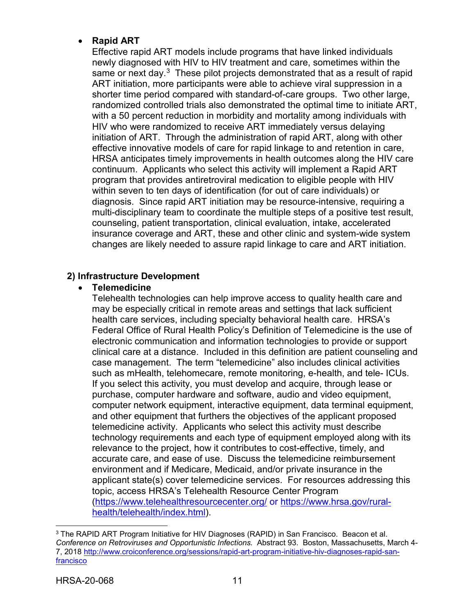## • **Rapid ART**

Effective rapid ART models include programs that have linked individuals newly diagnosed with HIV to HIV treatment and care, sometimes within the same or next day.<sup>[3](#page-14-0)</sup> These pilot projects demonstrated that as a result of rapid ART initiation, more participants were able to achieve viral suppression in a shorter time period compared with standard-of-care groups. Two other large, randomized controlled trials also demonstrated the optimal time to initiate ART, with a 50 percent reduction in morbidity and mortality among individuals with HIV who were randomized to receive ART immediately versus delaying initiation of ART. Through the administration of rapid ART, along with other effective innovative models of care for rapid linkage to and retention in care, HRSA anticipates timely improvements in health outcomes along the HIV care continuum. Applicants who select this activity will implement a Rapid ART program that provides antiretroviral medication to eligible people with HIV within seven to ten days of identification (for out of care individuals) or diagnosis. Since rapid ART initiation may be resource-intensive, requiring a multi-disciplinary team to coordinate the multiple steps of a positive test result, counseling, patient transportation, clinical evaluation, intake, accelerated insurance coverage and ART, these and other clinic and system-wide system changes are likely needed to assure rapid linkage to care and ART initiation.

## **2) Infrastructure Development**

#### • **Telemedicine**

Telehealth technologies can help improve access to quality health care and may be especially critical in remote areas and settings that lack sufficient health care services, including specialty behavioral health care. HRSA's Federal Office of Rural Health Policy's Definition of Telemedicine is the use of electronic communication and information technologies to provide or support clinical care at a distance. Included in this definition are patient counseling and case management. The term "telemedicine" also includes clinical activities such as mHealth, telehomecare, remote monitoring, e-health, and tele- ICUs. If you select this activity, you must develop and acquire, through lease or purchase, computer hardware and software, audio and video equipment, computer network equipment, interactive equipment, data terminal equipment, and other equipment that furthers the objectives of the applicant proposed telemedicine activity. Applicants who select this activity must describe technology requirements and each type of equipment employed along with its relevance to the project, how it contributes to cost-effective, timely, and accurate care, and ease of use. Discuss the telemedicine reimbursement environment and if Medicare, Medicaid, and/or private insurance in the applicant state(s) cover telemedicine services. For resources addressing this topic, access HRSA's Telehealth Resource Center Program [\(https://www.telehealthresourcecenter.org/](https://www.telehealthresourcecenter.org/) or [https://www.hrsa.gov/rural](https://www.hrsa.gov/rural-health/telehealth/index.html)[health/telehealth/index.html\)](https://www.hrsa.gov/rural-health/telehealth/index.html).

 $\overline{a}$ 

<span id="page-14-0"></span><sup>&</sup>lt;sup>3</sup> The RAPID ART Program Initiative for HIV Diagnoses (RAPID) in San Francisco. Beacon et al. *Conference on Retroviruses and Opportunistic Infections.* Abstract 93. Boston, Massachusetts, March 4- 7, 2018 [http://www.croiconference.org/sessions/rapid-art-program-initiative-hiv-diagnoses-rapid-san](http://www.croiconference.org/sessions/rapid-art-program-initiative-hiv-diagnoses-rapid-san-francisco)[francisco](http://www.croiconference.org/sessions/rapid-art-program-initiative-hiv-diagnoses-rapid-san-francisco)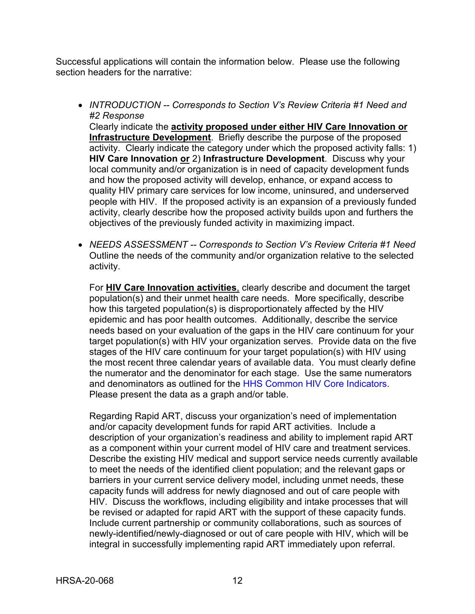Successful applications will contain the information below. Please use the following section headers for the narrative:

• *INTRODUCTION -- Corresponds to Section V's Review Criteria #1 Need and #2 Response*

Clearly indicate the **activity proposed under either HIV Care Innovation or Infrastructure Development**. Briefly describe the purpose of the proposed activity. Clearly indicate the category under which the proposed activity falls: 1) **HIV Care Innovation or** 2) **Infrastructure Development**. Discuss why your local community and/or organization is in need of capacity development funds and how the proposed activity will develop, enhance, or expand access to quality HIV primary care services for low income, uninsured, and underserved people with HIV. If the proposed activity is an expansion of a previously funded activity, clearly describe how the proposed activity builds upon and furthers the objectives of the previously funded activity in maximizing impact.

• *NEEDS ASSESSMENT -- Corresponds to Section V's Review Criteria #1 Need*  Outline the needs of the community and/or organization relative to the selected activity.

For **HIV Care Innovation activities**, clearly describe and document the target population(s) and their unmet health care needs. More specifically, describe how this targeted population(s) is disproportionately affected by the HIV epidemic and has poor health outcomes. Additionally, describe the service needs based on your evaluation of the gaps in the HIV care continuum for your target population(s) with HIV your organization serves. Provide data on the five stages of the HIV care continuum for your target population(s) with HIV using the most recent three calendar years of available data. You must clearly define the numerator and the denominator for each stage. Use the same numerators and denominators as outlined for the HHS Common HIV Core Indicators. Please present the data as a graph and/or table.

Regarding Rapid ART, discuss your organization's need of implementation and/or capacity development funds for rapid ART activities. Include a description of your organization's readiness and ability to implement rapid ART as a component within your current model of HIV care and treatment services. Describe the existing HIV medical and support service needs currently available to meet the needs of the identified client population; and the relevant gaps or barriers in your current service delivery model, including unmet needs, these capacity funds will address for newly diagnosed and out of care people with HIV. Discuss the workflows, including eligibility and intake processes that will be revised or adapted for rapid ART with the support of these capacity funds. Include current partnership or community collaborations, such as sources of newly-identified/newly-diagnosed or out of care people with HIV, which will be integral in successfully implementing rapid ART immediately upon referral.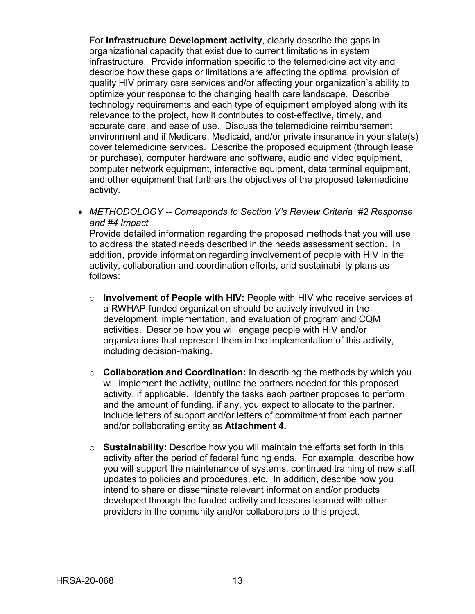For **Infrastructure Development activity**, clearly describe the gaps in organizational capacity that exist due to current limitations in system infrastructure. Provide information specific to the telemedicine activity and describe how these gaps or limitations are affecting the optimal provision of quality HIV primary care services and/or affecting your organization's ability to optimize your response to the changing health care landscape. Describe technology requirements and each type of equipment employed along with its relevance to the project, how it contributes to cost-effective, timely, and accurate care, and ease of use. Discuss the telemedicine reimbursement environment and if Medicare, Medicaid, and/or private insurance in your state(s) cover telemedicine services. Describe the proposed equipment (through lease or purchase), computer hardware and software, audio and video equipment, computer network equipment, interactive equipment, data terminal equipment, and other equipment that furthers the objectives of the proposed telemedicine activity.

• *METHODOLOGY -- Corresponds to Section V's Review Criteria #2 Response and #4 Impact*

Provide detailed information regarding the proposed methods that you will use to address the stated needs described in the needs assessment section. In addition, provide information regarding involvement of people with HIV in the activity, collaboration and coordination efforts, and sustainability plans as follows:

- o **Involvement of People with HIV:** People with HIV who receive services at a RWHAP-funded organization should be actively involved in the development, implementation, and evaluation of program and CQM activities. Describe how you will engage people with HIV and/or organizations that represent them in the implementation of this activity, including decision-making.
- o **Collaboration and Coordination:** In describing the methods by which you will implement the activity, outline the partners needed for this proposed activity, if applicable. Identify the tasks each partner proposes to perform and the amount of funding, if any, you expect to allocate to the partner. Include letters of support and/or letters of commitment from each partner and/or collaborating entity as **Attachment 4.**
- o **Sustainability:** Describe how you will maintain the efforts set forth in this activity after the period of federal funding ends. For example, describe how you will support the maintenance of systems, continued training of new staff, updates to policies and procedures, etc. In addition, describe how you intend to share or disseminate relevant information and/or products developed through the funded activity and lessons learned with other providers in the community and/or collaborators to this project.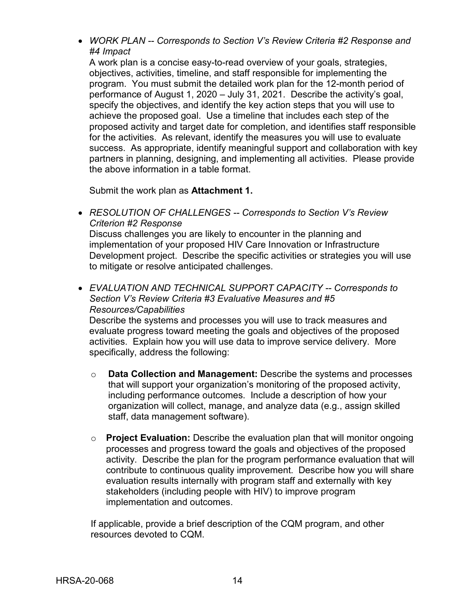• *WORK PLAN -- Corresponds to Section V's Review Criteria #2 Response and #4 Impact*

A work plan is a concise easy-to-read overview of your goals, strategies, objectives, activities, timeline, and staff responsible for implementing the program. You must submit the detailed work plan for the 12-month period of performance of August 1, 2020 – July 31, 2021. Describe the activity's goal, specify the objectives, and identify the key action steps that you will use to achieve the proposed goal. Use a timeline that includes each step of the proposed activity and target date for completion, and identifies staff responsible for the activities. As relevant, identify the measures you will use to evaluate success. As appropriate, identify meaningful support and collaboration with key partners in planning, designing, and implementing all activities. Please provide the above information in a table format.

Submit the work plan as **Attachment 1.**

• *RESOLUTION OF CHALLENGES -- Corresponds to Section V's Review Criterion #2 Response* 

Discuss challenges you are likely to encounter in the planning and implementation of your proposed HIV Care Innovation or Infrastructure Development project. Describe the specific activities or strategies you will use to mitigate or resolve anticipated challenges.

• *EVALUATION AND TECHNICAL SUPPORT CAPACITY -- Corresponds to Section V's Review Criteria #3 Evaluative Measures and #5 Resources/Capabilities* 

Describe the systems and processes you will use to track measures and evaluate progress toward meeting the goals and objectives of the proposed activities. Explain how you will use data to improve service delivery. More specifically, address the following:

- o **Data Collection and Management:** Describe the systems and processes that will support your organization's monitoring of the proposed activity, including performance outcomes. Include a description of how your organization will collect, manage, and analyze data (e.g., assign skilled staff, data management software).
- o **Project Evaluation:** Describe the evaluation plan that will monitor ongoing processes and progress toward the goals and objectives of the proposed activity. Describe the plan for the program performance evaluation that will contribute to continuous quality improvement. Describe how you will share evaluation results internally with program staff and externally with key stakeholders (including people with HIV) to improve program implementation and outcomes.

If applicable, provide a brief description of the CQM program, and other resources devoted to CQM.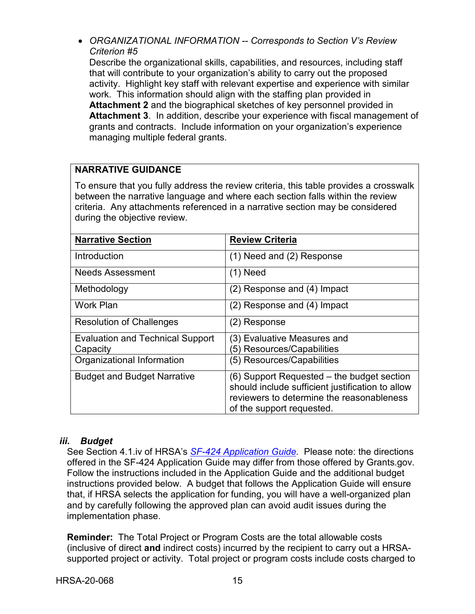• *ORGANIZATIONAL INFORMATION -- Corresponds to Section V's Review Criterion #5*

Describe the organizational skills, capabilities, and resources, including staff that will contribute to your organization's ability to carry out the proposed activity. Highlight key staff with relevant expertise and experience with similar work. This information should align with the staffing plan provided in **Attachment 2** and the biographical sketches of key personnel provided in **Attachment 3**. In addition, describe your experience with fiscal management of grants and contracts. Include information on your organization's experience managing multiple federal grants.

# **NARRATIVE GUIDANCE**

To ensure that you fully address the review criteria, this table provides a crosswalk between the narrative language and where each section falls within the review criteria. Any attachments referenced in a narrative section may be considered during the objective review.

| <b>Narrative Section</b>                | <b>Review Criteria</b>                           |
|-----------------------------------------|--------------------------------------------------|
| Introduction                            | (1) Need and (2) Response                        |
| <b>Needs Assessment</b>                 | $(1)$ Need                                       |
| Methodology                             | $(2)$ Response and $(4)$ Impact                  |
| <b>Work Plan</b>                        | (2) Response and (4) Impact                      |
| <b>Resolution of Challenges</b>         | (2) Response                                     |
| <b>Evaluation and Technical Support</b> | (3) Evaluative Measures and                      |
| Capacity                                | (5) Resources/Capabilities                       |
| Organizational Information              | (5) Resources/Capabilities                       |
| <b>Budget and Budget Narrative</b>      | (6) Support Requested – the budget section       |
|                                         | should include sufficient justification to allow |
|                                         | reviewers to determine the reasonableness        |
|                                         | of the support requested.                        |

## <span id="page-18-0"></span>*iii. Budget*

See Section 4.1.iv of HRSA's *SF-424 [Application Guide.](http://www.hrsa.gov/grants/apply/applicationguide/sf424guide.pdf)* Please note: the directions offered in the SF-424 Application Guide may differ from those offered by Grants.gov. Follow the instructions included in the Application Guide and the additional budget instructions provided below. A budget that follows the Application Guide will ensure that, if HRSA selects the application for funding, you will have a well-organized plan and by carefully following the approved plan can avoid audit issues during the implementation phase.

**Reminder:** The Total Project or Program Costs are the total allowable costs (inclusive of direct **and** indirect costs) incurred by the recipient to carry out a HRSAsupported project or activity. Total project or program costs include costs charged to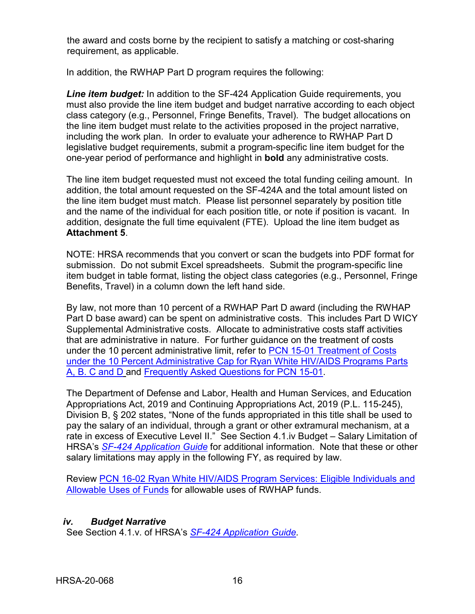the award and costs borne by the recipient to satisfy a matching or cost-sharing requirement, as applicable.

In addition, the RWHAP Part D program requires the following:

*Line item budget:* In addition to the SF-424 Application Guide requirements, you must also provide the line item budget and budget narrative according to each object class category (e.g., Personnel, Fringe Benefits, Travel). The budget allocations on the line item budget must relate to the activities proposed in the project narrative, including the work plan. In order to evaluate your adherence to RWHAP Part D legislative budget requirements, submit a program-specific line item budget for the one-year period of performance and highlight in **bold** any administrative costs.

The line item budget requested must not exceed the total funding ceiling amount. In addition, the total amount requested on the SF-424A and the total amount listed on the line item budget must match. Please list personnel separately by position title and the name of the individual for each position title, or note if position is vacant. In addition, designate the full time equivalent (FTE). Upload the line item budget as **Attachment 5**.

NOTE: HRSA recommends that you convert or scan the budgets into PDF format for submission. Do not submit Excel spreadsheets. Submit the program-specific line item budget in table format, listing the object class categories (e.g., Personnel, Fringe Benefits, Travel) in a column down the left hand side.

By law, not more than 10 percent of a RWHAP Part D award (including the RWHAP Part D base award) can be spent on administrative costs. This includes Part D WICY Supplemental Administrative costs. Allocate to administrative costs staff activities that are administrative in nature. For further guidance on the treatment of costs under the 10 percent administrative limit, refer to [PCN 15-01 Treatment of Costs](https://hab.hrsa.gov/program-grants-management/policy-notices-and-program-letters)  [under the 10 Percent Administrative Cap for Ryan White HIV/AIDS Programs Parts](https://hab.hrsa.gov/program-grants-management/policy-notices-and-program-letters)  [A, B. C and D](https://hab.hrsa.gov/program-grants-management/policy-notices-and-program-letters) and [Frequently Asked Questions](hhttps://hab.hrsa.gov/program-grants-management/policy-notices-and-program-letters) for PCN 15-01.

The Department of Defense and Labor, Health and Human Services, and Education Appropriations Act, 2019 and Continuing Appropriations Act, 2019 (P.L. 115-245), Division B, § 202 states, "None of the funds appropriated in this title shall be used to pay the salary of an individual, through a grant or other extramural mechanism, at a rate in excess of Executive Level II." See Section 4.1.iv Budget – Salary Limitation of HRSA's *SF-424 [Application Guide](http://www.hrsa.gov/grants/apply/applicationguide/sf424guide.pdf)* for additional information. Note that these or other salary limitations may apply in the following FY, as required by law.

Review [PCN 16-02 Ryan White HIV/AIDS Program Services: Eligible Individuals and](https://hab.hrsa.gov/program-grants-management/policy-notices-and-program-letters)  [Allowable Uses of Funds](https://hab.hrsa.gov/program-grants-management/policy-notices-and-program-letters) for allowable uses of RWHAP funds.

## <span id="page-19-0"></span>*iv. Budget Narrative*

See Section 4.1.v. of HRSA's *SF-424 [Application Guide.](http://www.hrsa.gov/grants/apply/applicationguide/sf424guide.pdf)*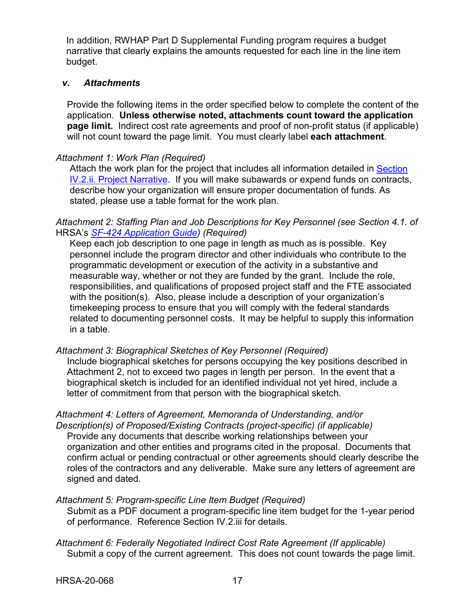In addition, RWHAP Part D Supplemental Funding program requires a budget narrative that clearly explains the amounts requested for each line in the line item budget.

#### <span id="page-20-0"></span>*v. Attachments*

Provide the following items in the order specified below to complete the content of the application. **Unless otherwise noted, attachments count toward the application page limit.** Indirect cost rate agreements and proof of non-profit status (if applicable) will not count toward the page limit. You must clearly label **each attachment**.

## *Attachment 1: Work Plan (Required)*

Attach the work plan for the project that includes all information detailed in Section [IV.2.ii. Project Narrative.](#page-12-1) If you will make subawards or expend funds on contracts, describe how your organization will ensure proper documentation of funds. As stated, please use a table format for the work plan.

#### *Attachment 2: Staffing Plan and Job Descriptions for Key Personnel (see Section 4.1. of*  HRSA's *SF-424 [Application Guide\)](http://www.hrsa.gov/grants/apply/applicationguide/sf424guide.pdf) (Required)*

Keep each job description to one page in length as much as is possible. Key personnel include the program director and other individuals who contribute to the programmatic development or execution of the activity in a substantive and measurable way, whether or not they are funded by the grant. Include the role, responsibilities, and qualifications of proposed project staff and the FTE associated with the position(s). Also, please include a description of your organization's timekeeping process to ensure that you will comply with the federal standards related to documenting personnel costs. It may be helpful to supply this information in a table.

#### *Attachment 3: Biographical Sketches of Key Personnel (Required)*

Include biographical sketches for persons occupying the key positions described in Attachment 2, not to exceed two pages in length per person. In the event that a biographical sketch is included for an identified individual not yet hired, include a letter of commitment from that person with the biographical sketch.

# *Attachment 4: Letters of Agreement, Memoranda of Understanding, and/or*

*Description(s) of Proposed/Existing Contracts (project-specific) (if applicable)* Provide any documents that describe working relationships between your organization and other entities and programs cited in the proposal. Documents that confirm actual or pending contractual or other agreements should clearly describe the roles of the contractors and any deliverable. Make sure any letters of agreement are signed and dated.

#### *Attachment 5: Program-specific Line Item Budget (Required)*

Submit as a PDF document a program-specific line item budget for the 1-year period of performance. Reference Section IV.2.iii for details.

*Attachment 6: Federally Negotiated Indirect Cost Rate Agreement (If applicable)*  Submit a copy of the current agreement. This does not count towards the page limit.

HRSA-20-068 17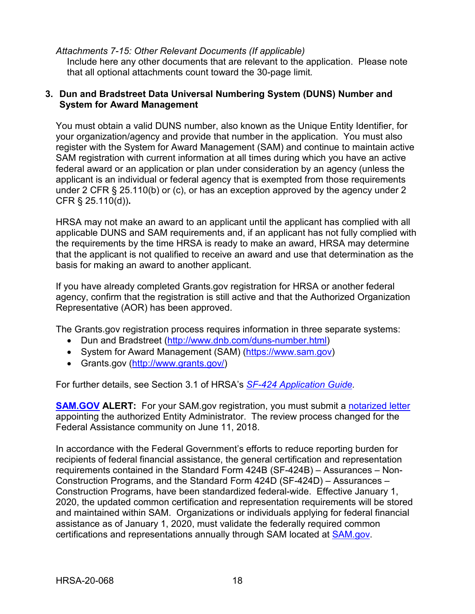#### *Attachments 7-15: Other Relevant Documents (If applicable)*

Include here any other documents that are relevant to the application. Please note that all optional attachments count toward the 30-page limit*.*

#### <span id="page-21-0"></span>**3. Dun and Bradstreet Data Universal Numbering System (DUNS) Number and System for Award Management**

You must obtain a valid DUNS number, also known as the Unique Entity Identifier, for your organization/agency and provide that number in the application. You must also register with the System for Award Management (SAM) and continue to maintain active SAM registration with current information at all times during which you have an active federal award or an application or plan under consideration by an agency (unless the applicant is an individual or federal agency that is exempted from those requirements under 2 CFR § 25.110(b) or (c), or has an exception approved by the agency under 2 CFR § 25.110(d))**.**

HRSA may not make an award to an applicant until the applicant has complied with all applicable DUNS and SAM requirements and, if an applicant has not fully complied with the requirements by the time HRSA is ready to make an award, HRSA may determine that the applicant is not qualified to receive an award and use that determination as the basis for making an award to another applicant.

If you have already completed Grants.gov registration for HRSA or another federal agency, confirm that the registration is still active and that the Authorized Organization Representative (AOR) has been approved.

The Grants.gov registration process requires information in three separate systems:

- Dun and Bradstreet [\(http://www.dnb.com/duns-number.html\)](http://www.dnb.com/duns-number.html)
- System for Award Management (SAM) [\(https://www.sam.gov\)](https://www.sam.gov/)
- Grants.gov [\(http://www.grants.gov/\)](http://www.grants.gov/)

For further details, see Section 3.1 of HRSA's *SF-424 [Application Guide.](http://www.hrsa.gov/grants/apply/applicationguide/sf424guide.pdf)*

**[SAM.GOV](http://sam.gov/) ALERT:** For your SAM.gov registration, you must submit a [notarized letter](https://www.fsd.gov/fsd-gov/answer.do?sysparm_kbid=d2e67885db0d5f00b3257d321f96194b&sysparm_search=kb0013183) appointing the authorized Entity Administrator. The review process changed for the Federal Assistance community on June 11, 2018.

In accordance with the Federal Government's efforts to reduce reporting burden for recipients of federal financial assistance, the general certification and representation requirements contained in the Standard Form 424B (SF-424B) – Assurances – Non-Construction Programs, and the Standard Form 424D (SF-424D) – Assurances – Construction Programs, have been standardized federal-wide. Effective January 1, 2020, the updated common certification and representation requirements will be stored and maintained within SAM. Organizations or individuals applying for federal financial assistance as of January 1, 2020, must validate the federally required common certifications and representations annually through SAM located at [SAM.gov.](https://www.sam.gov/)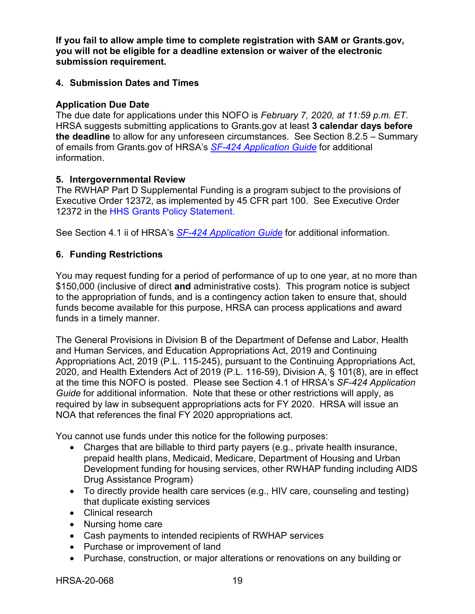**If you fail to allow ample time to complete registration with SAM or Grants.gov, you will not be eligible for a deadline extension or waiver of the electronic submission requirement.**

## <span id="page-22-0"></span>**4. Submission Dates and Times**

#### **Application Due Date**

The due date for applications under this NOFO is *February 7, 2020, at 11:59 p.m. ET*. HRSA suggests submitting applications to Grants.gov at least **3 calendar days before the deadline** to allow for any unforeseen circumstances. See Section 8.2.5 – Summary of emails from Grants.gov of HRSA's *[SF-424 Application Guide](http://www.hrsa.gov/grants/apply/applicationguide/sf424guide.pdf)* for additional information.

## <span id="page-22-1"></span>**5. Intergovernmental Review**

The RWHAP Part D Supplemental Funding is a program subject to the provisions of Executive Order 12372, as implemented by 45 CFR part 100. See Executive Order 12372 in the HHS Grants Policy Statement.

See Section 4.1 ii of HRSA's *SF-424 [Application Guide](http://www.hrsa.gov/grants/apply/applicationguide/sf424guide.pdf)* for additional information.

## <span id="page-22-2"></span>**6. Funding Restrictions**

You may request funding for a period of performance of up to one year, at no more than \$150,000 (inclusive of direct **and** administrative costs). This program notice is subject to the appropriation of funds, and is a contingency action taken to ensure that, should funds become available for this purpose, HRSA can process applications and award funds in a timely manner.

The General Provisions in Division B of the Department of Defense and Labor, Health and Human Services, and Education Appropriations Act, 2019 and Continuing Appropriations Act, 2019 (P.L. 115-245), pursuant to the Continuing Appropriations Act, 2020, and Health Extenders Act of 2019 (P.L. 116-59), Division A, § 101(8), are in effect at the time this NOFO is posted. Please see Section 4.1 of HRSA's *SF-424 Application Guide* for additional information. Note that these or other restrictions will apply, as required by law in subsequent appropriations acts for FY 2020. HRSA will issue an NOA that references the final FY 2020 appropriations act.

You cannot use funds under this notice for the following purposes:

- Charges that are billable to third party payers (e.g., private health insurance, prepaid health plans, Medicaid, Medicare, Department of Housing and Urban Development funding for housing services, other RWHAP funding including AIDS Drug Assistance Program)
- To directly provide health care services (e.g., HIV care, counseling and testing) that duplicate existing services
- Clinical research
- Nursing home care
- Cash payments to intended recipients of RWHAP services
- Purchase or improvement of land
- Purchase, construction, or major alterations or renovations on any building or

HRSA-20-068 19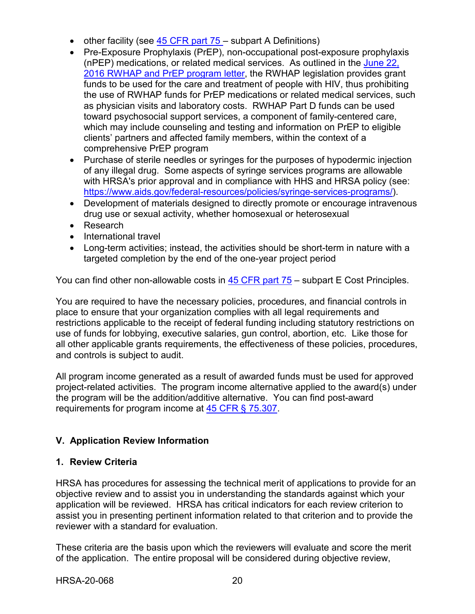- other facility (see  $\frac{45}{15}$  CFR part 75 subpart A Definitions)
- Pre-Exposure Prophylaxis (PrEP), non-occupational post-exposure prophylaxis (nPEP) medications, or related medical services. As outlined in the [June 22,](https://hab.hrsa.gov/sites/default/files/hab/Global/prepletter062216_0.pdf) [2016 RWHAP and PrEP program letter,](https://hab.hrsa.gov/sites/default/files/hab/Global/prepletter062216_0.pdf) the RWHAP legislation provides grant funds to be used for the care and treatment of people with HIV, thus prohibiting the use of RWHAP funds for PrEP medications or related medical services, such as physician visits and laboratory costs. RWHAP Part D funds can be used toward psychosocial support services, a component of family-centered care, which may include counseling and testing and information on PrEP to eligible clients' partners and affected family members, within the context of a comprehensive PrEP program
- Purchase of sterile needles or syringes for the purposes of hypodermic injection of any illegal drug. Some aspects of syringe services programs are allowable with HRSA's prior approval and in compliance with HHS and HRSA policy (see: [https://www.aids.gov/federal-resources/policies/syringe-services-programs/\)](https://www.aids.gov/federal-resources/policies/syringe-services-programs/).
- Development of materials designed to directly promote or encourage intravenous drug use or sexual activity, whether homosexual or heterosexual
- Research
- International travel
- Long-term activities; instead, the activities should be short-term in nature with a targeted completion by the end of the one-year project period

You can find other non-allowable costs in [45 CFR part 75](https://www.ecfr.gov/cgi-bin/retrieveECFR?gp=1&SID=4d52364ec83fab994c665943dadf9cf7&ty=HTML&h=L&r=PART&n=pt45.1.75) – subpart E Cost Principles.

You are required to have the necessary policies, procedures, and financial controls in place to ensure that your organization complies with all legal requirements and restrictions applicable to the receipt of federal funding including statutory restrictions on use of funds for lobbying, executive salaries, gun control, abortion, etc. Like those for all other applicable grants requirements, the effectiveness of these policies, procedures, and controls is subject to audit.

All program income generated as a result of awarded funds must be used for approved project-related activities. The program income alternative applied to the award(s) under the program will be the addition/additive alternative. You can find post-award requirements for program income at [45 CFR § 75.307.](https://www.ecfr.gov/cgi-bin/retrieveECFR?gp=1&SID=4d52364ec83fab994c665943dadf9cf7&ty=HTML&h=L&r=PART&n=pt45.1.75)

# <span id="page-23-0"></span>**V. Application Review Information**

#### <span id="page-23-1"></span>**1. Review Criteria**

HRSA has procedures for assessing the technical merit of applications to provide for an objective review and to assist you in understanding the standards against which your application will be reviewed. HRSA has critical indicators for each review criterion to assist you in presenting pertinent information related to that criterion and to provide the reviewer with a standard for evaluation.

These criteria are the basis upon which the reviewers will evaluate and score the merit of the application. The entire proposal will be considered during objective review,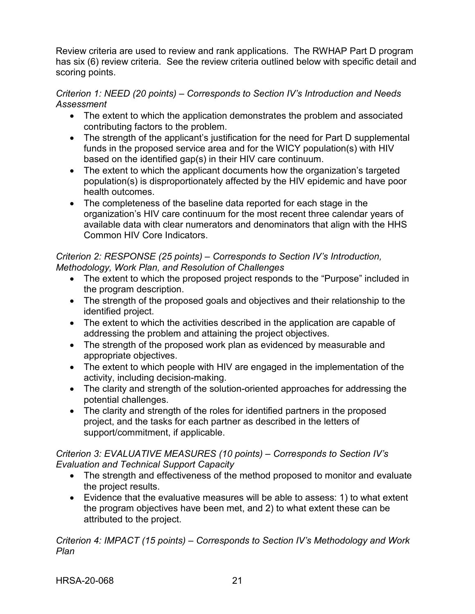Review criteria are used to review and rank applications. The RWHAP Part D program has six (6) review criteria. See the review criteria outlined below with specific detail and scoring points.

## *Criterion 1: NEED (20 points) – Corresponds to Section IV's Introduction and Needs Assessment*

- The extent to which the application demonstrates the problem and associated contributing factors to the problem.
- The strength of the applicant's justification for the need for Part D supplemental funds in the proposed service area and for the WICY population(s) with HIV based on the identified gap(s) in their HIV care continuum.
- The extent to which the applicant documents how the organization's targeted population(s) is disproportionately affected by the HIV epidemic and have poor health outcomes.
- The completeness of the baseline data reported for each stage in the organization's HIV care continuum for the most recent three calendar years of available data with clear numerators and denominators that align with the HHS Common HIV Core Indicators.

#### *Criterion 2: RESPONSE (25 points) – Corresponds to Section IV's Introduction, Methodology, Work Plan, and Resolution of Challenges*

- The extent to which the proposed project responds to the "Purpose" included in the program description.
- The strength of the proposed goals and objectives and their relationship to the identified project.
- The extent to which the activities described in the application are capable of addressing the problem and attaining the project objectives.
- The strength of the proposed work plan as evidenced by measurable and appropriate objectives.
- The extent to which people with HIV are engaged in the implementation of the activity, including decision-making.
- The clarity and strength of the solution-oriented approaches for addressing the potential challenges.
- The clarity and strength of the roles for identified partners in the proposed project, and the tasks for each partner as described in the letters of support/commitment, if applicable.

## *Criterion 3: EVALUATIVE MEASURES (10 points) – Corresponds to Section IV's Evaluation and Technical Support Capacity*

- The strength and effectiveness of the method proposed to monitor and evaluate the project results.
- Evidence that the evaluative measures will be able to assess: 1) to what extent the program objectives have been met, and 2) to what extent these can be attributed to the project.

*Criterion 4: IMPACT (15 points) – Corresponds to Section IV's Methodology and Work Plan*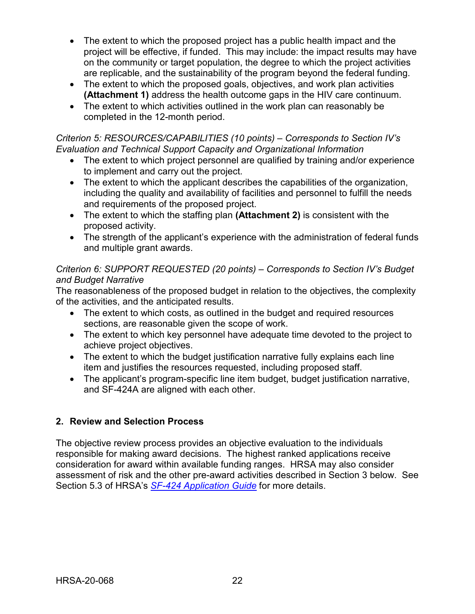- The extent to which the proposed project has a public health impact and the project will be effective, if funded. This may include: the impact results may have on the community or target population, the degree to which the project activities are replicable, and the sustainability of the program beyond the federal funding.
- The extent to which the proposed goals, objectives, and work plan activities **(Attachment 1)** address the health outcome gaps in the HIV care continuum.
- The extent to which activities outlined in the work plan can reasonably be completed in the 12-month period.

## *Criterion 5: RESOURCES/CAPABILITIES (10 points) – Corresponds to Section IV's Evaluation and Technical Support Capacity and Organizational Information*

- The extent to which project personnel are qualified by training and/or experience to implement and carry out the project.
- The extent to which the applicant describes the capabilities of the organization, including the quality and availability of facilities and personnel to fulfill the needs and requirements of the proposed project.
- The extent to which the staffing plan **(Attachment 2)** is consistent with the proposed activity.
- The strength of the applicant's experience with the administration of federal funds and multiple grant awards.

## *Criterion 6: SUPPORT REQUESTED (20 points) – Corresponds to Section IV's Budget and Budget Narrative*

The reasonableness of the proposed budget in relation to the objectives, the complexity of the activities, and the anticipated results.

- The extent to which costs, as outlined in the budget and required resources sections, are reasonable given the scope of work.
- The extent to which key personnel have adequate time devoted to the project to achieve project objectives.
- The extent to which the budget justification narrative fully explains each line item and justifies the resources requested, including proposed staff.
- The applicant's program-specific line item budget, budget justification narrative, and SF-424A are aligned with each other.

# <span id="page-25-0"></span>**2. Review and Selection Process**

The objective review process provides an objective evaluation to the individuals responsible for making award decisions. The highest ranked applications receive consideration for award within available funding ranges. HRSA may also consider assessment of risk and the other pre-award activities described in Section 3 below. See Section 5.3 of HRSA's *SF-424 [Application Guide](http://www.hrsa.gov/grants/apply/applicationguide/sf424guide.pdf)* for more details.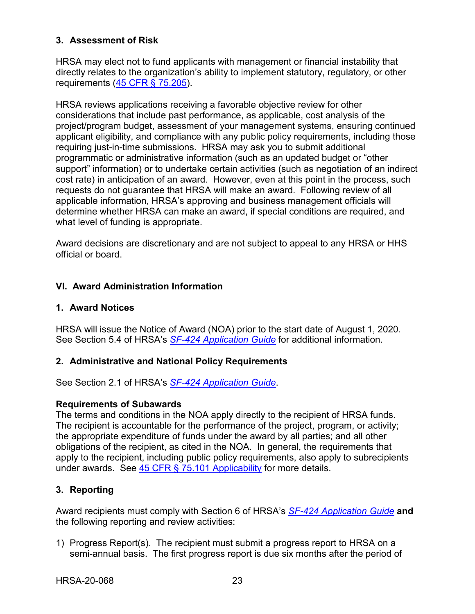## <span id="page-26-0"></span>**3. Assessment of Risk**

HRSA may elect not to fund applicants with management or financial instability that directly relates to the organization's ability to implement statutory, regulatory, or other requirements [\(45 CFR § 75.205\)](https://www.ecfr.gov/cgi-bin/retrieveECFR?gp=1&SID=4d52364ec83fab994c665943dadf9cf7&ty=HTML&h=L&r=PART&n=pt45.1.75).

HRSA reviews applications receiving a favorable objective review for other considerations that include past performance, as applicable, cost analysis of the project/program budget, assessment of your management systems, ensuring continued applicant eligibility, and compliance with any public policy requirements, including those requiring just-in-time submissions. HRSA may ask you to submit additional programmatic or administrative information (such as an updated budget or "other support" information) or to undertake certain activities (such as negotiation of an indirect cost rate) in anticipation of an award. However, even at this point in the process, such requests do not guarantee that HRSA will make an award. Following review of all applicable information, HRSA's approving and business management officials will determine whether HRSA can make an award, if special conditions are required, and what level of funding is appropriate.

Award decisions are discretionary and are not subject to appeal to any HRSA or HHS official or board.

# <span id="page-26-1"></span>**VI. Award Administration Information**

## <span id="page-26-2"></span>**1. Award Notices**

HRSA will issue the Notice of Award (NOA) prior to the start date of August 1, 2020. See Section 5.4 of HRSA's *SF-424 [Application Guide](http://www.hrsa.gov/grants/apply/applicationguide/sf424guide.pdf)* for additional information.

## <span id="page-26-3"></span>**2. Administrative and National Policy Requirements**

See Section 2.1 of HRSA's *SF-424 [Application Guide](http://www.hrsa.gov/grants/apply/applicationguide/sf424guide.pdf)*.

## **Requirements of Subawards**

The terms and conditions in the NOA apply directly to the recipient of HRSA funds. The recipient is accountable for the performance of the project, program, or activity; the appropriate expenditure of funds under the award by all parties; and all other obligations of the recipient, as cited in the NOA. In general, the requirements that apply to the recipient, including public policy requirements, also apply to subrecipients under awards. See [45 CFR § 75.101 Applicability](https://www.ecfr.gov/cgi-bin/retrieveECFR?gp=1&SID=4d52364ec83fab994c665943dadf9cf7&ty=HTML&h=L&r=PART&n=pt45.1.75) for more details.

## <span id="page-26-4"></span>**3. Reporting**

Award recipients must comply with Section 6 of HRSA's *SF-424 [Application Guide](http://www.hrsa.gov/grants/apply/applicationguide/sf424guide.pdf)* **and** the following reporting and review activities:

1) Progress Report(s). The recipient must submit a progress report to HRSA on a semi-annual basis. The first progress report is due six months after the period of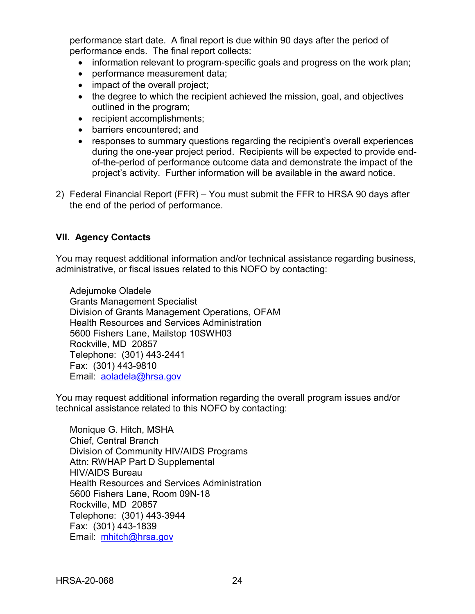performance start date. A final report is due within 90 days after the period of performance ends. The final report collects:

- information relevant to program-specific goals and progress on the work plan;
- performance measurement data;
- impact of the overall project;
- the degree to which the recipient achieved the mission, goal, and objectives outlined in the program;
- recipient accomplishments;
- barriers encountered; and
- responses to summary questions regarding the recipient's overall experiences during the one-year project period. Recipients will be expected to provide endof-the-period of performance outcome data and demonstrate the impact of the project's activity. Further information will be available in the award notice.
- 2) Federal Financial Report (FFR) You must submit the FFR to HRSA 90 days after the end of the period of performance.

## <span id="page-27-0"></span>**VII. Agency Contacts**

You may request additional information and/or technical assistance regarding business, administrative, or fiscal issues related to this NOFO by contacting:

Adejumoke Oladele Grants Management Specialist Division of Grants Management Operations, OFAM Health Resources and Services Administration 5600 Fishers Lane, Mailstop 10SWH03 Rockville, MD 20857 Telephone: (301) 443-2441 Fax: (301) 443-9810 Email: [aoladela@hrsa.gov](mailto:aoladela@hrsa.gov)

You may request additional information regarding the overall program issues and/or technical assistance related to this NOFO by contacting:

Monique G. Hitch, MSHA Chief, Central Branch Division of Community HIV/AIDS Programs Attn: RWHAP Part D Supplemental HIV/AIDS Bureau Health Resources and Services Administration 5600 Fishers Lane, Room 09N-18 Rockville, MD 20857 Telephone: (301) 443-3944 Fax: (301) 443-1839 Email: [mhitch@hrsa.gov](mailto:mhitch@hrsa.gov)